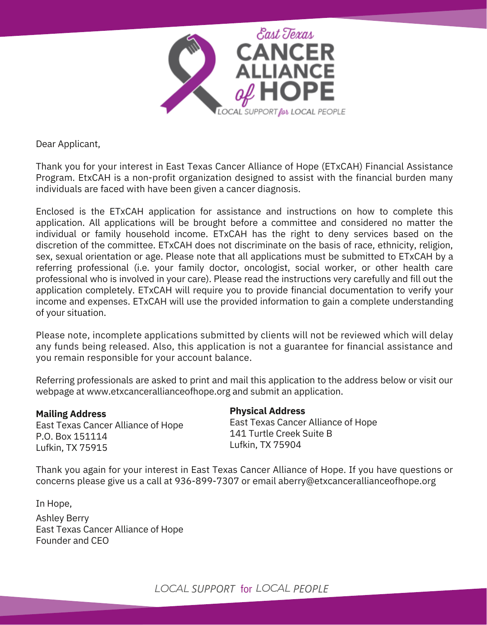

Dear Applicant,

Thank you for your interest in East Texas Cancer Alliance of Hope (ETxCAH) Financial Assistance Program. EtxCAH is a non-profit organization designed to assist with the financial burden many individuals are faced with have been given a cancer diagnosis.

Enclosed is the ETxCAH application for assistance and instructions on how to complete this application. All applications will be brought before a committee and considered no matter the individual or family household income. ETxCAH has the right to deny services based on the discretion of the committee. ETxCAH does not discriminate on the basis of race, ethnicity, religion, sex, sexual orientation or age. Please note that all applications must be submitted to ETxCAH by a referring professional (i.e. your family doctor, oncologist, social worker, or other health care professional who is involved in your care). Please read the instructions very carefully and fill out the application completely. ETxCAH will require you to provide financial documentation to verify your income and expenses. ETxCAH will use the provided information to gain a complete understanding of your situation.

Please note, incomplete applications submitted by clients will not be reviewed which will delay any funds being released. Also, this application is not a guarantee for financial assistance and you remain responsible for your account balance.

Referring professionals are asked to print and mail this application to the address below or visit our webpage at www.etxcancerallianceofhope.org and submit an application.

**Mailing Address** East Texas Cancer Alliance of Hope P.O. Box 151114 Lufkin, TX 75915

## **Physical Address**

East Texas Cancer Alliance of Hope 141 Turtle Creek Suite B Lufkin, TX 75904

Thank you again for your interest in East Texas Cancer Alliance of Hope. If you have questions or concerns please give us a call at 936-899-7307 or email aberry@etxcancerallianceofhope.org

In Hope, Ashley Berry East Texas Cancer Alliance of Hope Founder and CEO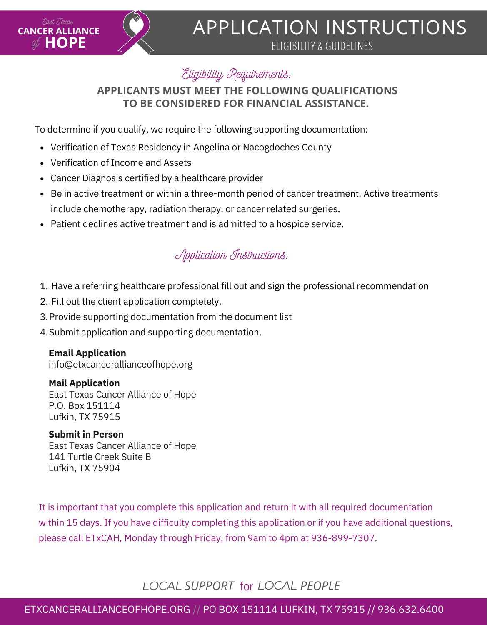

# APPLICATION INSTRUCTIONS

ELIGIBILITY & GUIDELINES

# Eligibility Requirements:

# **APPLICANTS MUST MEET THE FOLLOWING QUALIFICATIONS TO BE CONSIDERED FOR FINANCIAL ASSISTANCE.**

To determine if you qualify, we require the following supporting documentation:

- Verification of Texas Residency in Angelina or Nacogdoches County
- Verification of Income and Assets
- Cancer Diagnosis certified by a healthcare provider
- Be in active treatment or within a three-month period of cancer treatment. Active treatments include chemotherapy, radiation therapy, or cancer related surgeries.
- Patient declines active treatment and is admitted to a hospice service.

# Application Instructions:

- 1. Have a referring healthcare professional fill out and sign the professional recommendation
- 2. Fill out the client application completely.
- 3. Provide supporting documentation from the document list
- 4. Submit application and supporting documentation.

# **Email Application**

info@etxcancerallianceofhope.org

# **Mail Application**

East Texas Cancer Alliance of Hope P.O. Box 151114 Lufkin, TX 75915

# **Submit in Person**

East Texas Cancer Alliance of Hope 141 Turtle Creek Suite B Lufkin, TX 75904

It is important that you complete this application and return it with all required documentation within 15 days. If you have difficulty completing this application or if you have additional questions, please call ETxCAH, Monday through Friday, from 9am to 4pm at 936-899-7307.

# *LOCAL SUPPORT LOCAL PEOPLE* for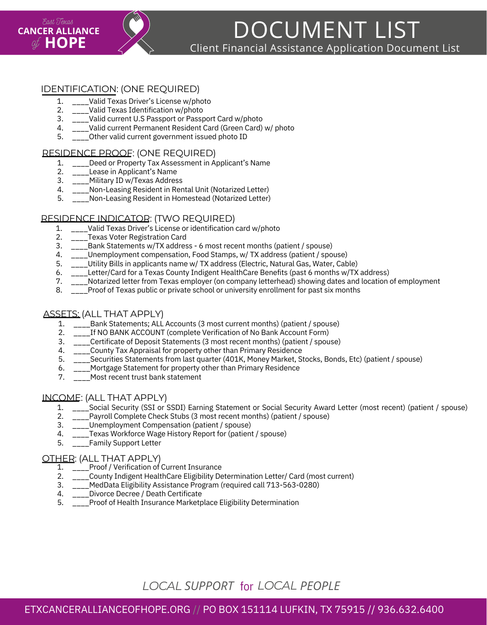

DOCUMENT LIST Client Financial Assistance Application Document List

## IDENTIFICATION: (ONE REQUIRED)

- 1. Valid Texas Driver's License w/photo
- 2. Valid Texas Identification w/photo
- 3. Valid current U.S Passport or Passport Card w/photo
- 4. Valid current Permanent Resident Card (Green Card) w/ photo
- 5. Other valid current government issued photo ID

#### RESIDENCE PROOF: (ONE REQUIRED)

- 1. Deed or Property Tax Assessment in Applicant's Name
- 2. Lease in Applicant's Name
- 3. Military ID w/Texas Address
- 4. \_\_\_\_Non-Leasing Resident in Rental Unit (Notarized Letter)
- 5. \_\_\_\_Non-Leasing Resident in Homestead (Notarized Letter)

#### RESIDENCE INDICATOR: (TWO REQUIRED)

- 1. Valid Texas Driver's License or identification card w/photo
- 2. \_\_\_\_Texas Voter Registration Card
- 3. Bank Statements w/TX address - 6 most recent months (patient / spouse)
- 4. Unemployment compensation, Food Stamps, w/ TX address (patient / spouse)
- 5. Utility Bills in applicants name w/ TX address (Electric, Natural Gas, Water, Cable)
- 6. Letter/Card for a Texas County Indigent HealthCare Benefits (past 6 months w/TX address)
- 7. \_\_\_\_Notarized letter from Texas employer (on company letterhead) showing dates and location of employment
- 8. Proof of Texas public or private school or university enrollment for past six months

#### ASSETS: (ALL THAT APPLY)

- 1. \_\_\_\_Bank Statements; ALL Accounts (3 most current months) (patient / spouse)
- 2. \_\_\_\_If NO BANK ACCOUNT (complete Verification of No Bank Account Form)
- 3. \_\_\_\_Certificate of Deposit Statements (3 most recent months) (patient / spouse)
- 4. \_\_\_\_County Tax Appraisal for property other than Primary Residence
- 5. Securities Statements from last quarter (401K, Money Market, Stocks, Bonds, Etc) (patient / spouse)
- 6. Mortgage Statement for property other than Primary Residence
- 7. Most recent trust bank statement

#### INCOME: (ALL THAT APPLY)

- 1. \_\_\_\_Social Security (SSI or SSDI) Earning Statement or Social Security Award Letter (most recent) (patient / spouse)
- 2. Payroll Complete Check Stubs (3 most recent months) (patient / spouse)
- 3. Unemployment Compensation (patient / spouse)
- 4. Texas Workforce Wage History Report for (patient / spouse)
- 5. \_\_\_\_Family Support Letter

#### OTHER: (ALL THAT APPLY)

- 1. \_\_\_\_Proof / Verification of Current Insurance
- 2. \_\_\_\_County Indigent HealthCare Eligibility Determination Letter/ Card (most current)
- 3. MedData Eligibility Assistance Program (required call 713-563-0280)
- 4. Divorce Decree / Death Certificate
- 5. \_\_\_\_Proof of Health Insurance Marketplace Eligibility Determination

# *LOCAL SUPPORT LOCAL PEOPLE* for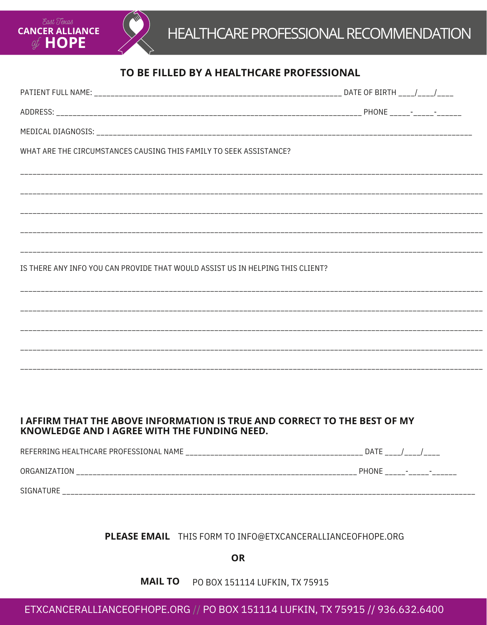



# TO BE FILLED BY A HEALTHCARE PROFESSIONAL

| WHAT ARE THE CIRCUMSTANCES CAUSING THIS FAMILY TO SEEK ASSISTANCE?             |  |
|--------------------------------------------------------------------------------|--|
|                                                                                |  |
|                                                                                |  |
|                                                                                |  |
|                                                                                |  |
|                                                                                |  |
| IS THERE ANY INFO YOU CAN PROVIDE THAT WOULD ASSIST US IN HELPING THIS CLIENT? |  |
|                                                                                |  |
|                                                                                |  |
|                                                                                |  |
|                                                                                |  |
|                                                                                |  |
|                                                                                |  |

## **I AFFIRM THAT THE ABOVE INFORMATION IS TRUE AND CORRECT TO THE BEST OF MY KNOWLEDGE AND I AGREE WITH THE FUNDING NEED.**

| REFERRING HEALTHCARE PROFESSIONAL NAME | <b>DATE</b>                              |
|----------------------------------------|------------------------------------------|
| ORGANIZATION                           | <b>PHONE</b><br>$\overline{\phantom{0}}$ |
| SIGNATURE                              |                                          |

## PLEASE EMAIL THIS FORM TO INFO@ETXCANCERALLIANCEOFHOPE.ORG

**OR** 

**MAIL TO** PO BOX 151114 LUFKIN, TX 75915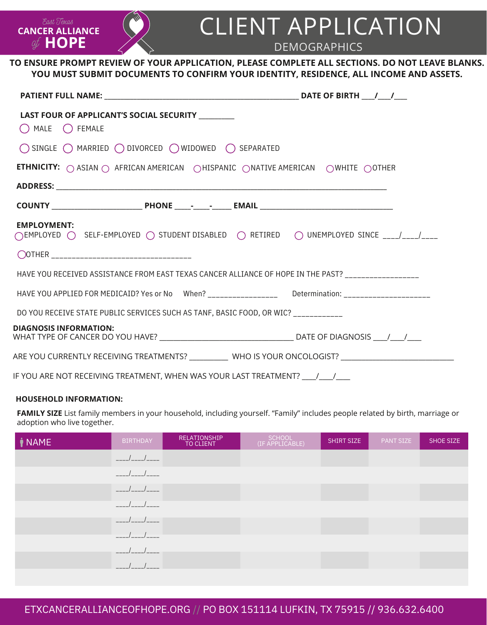# CLIENT APPLICATION

DEMOGRAPHICS

### **TO ENSURE PROMPT REVIEW OF YOUR APPLICATION, PLEASE COMPLETE ALL SECTIONS. DO NOT LEAVE BLANKS. YOU MUST SUBMIT DOCUMENTS TO CONFIRM YOUR IDENTITY, RESIDENCE, ALL INCOME AND ASSETS.**

| LAST FOUR OF APPLICANT'S SOCIAL SECURITY _________<br>$\bigcap$ MALE $\bigcap$ FEMALE                                                           |                                                                                                                |
|-------------------------------------------------------------------------------------------------------------------------------------------------|----------------------------------------------------------------------------------------------------------------|
| $\bigcirc$ single $\bigcirc$ married $\bigcirc$ divorced $\bigcirc$ widowed $\bigcirc$ separated                                                |                                                                                                                |
| <b>ETHNICITY:</b> $\bigcirc$ ASIAN $\bigcirc$ AFRICAN AMERICAN $\bigcirc$ HISPANIC $\bigcirc$ NATIVE AMERICAN $\bigcirc$ WHITE $\bigcirc$ OTHER |                                                                                                                |
|                                                                                                                                                 |                                                                                                                |
|                                                                                                                                                 |                                                                                                                |
| <b>EMPLOYMENT:</b><br>◯EMPLOYED ◯ SELF-EMPLOYED ◯ STUDENT DISABLED ◯ RETIRED ◯ UNEMPLOYED SINCE ___/___/___                                     |                                                                                                                |
|                                                                                                                                                 |                                                                                                                |
| HAVE YOU RECEIVED ASSISTANCE FROM EAST TEXAS CANCER ALLIANCE OF HOPE IN THE PAST? _________________                                             |                                                                                                                |
| HAVE YOU APPLIED FOR MEDICAID? Yes or No When? __________________ Determination: __________________                                             |                                                                                                                |
| DO YOU RECEIVE STATE PUBLIC SERVICES SUCH AS TANF, BASIC FOOD, OR WIC? __________                                                               |                                                                                                                |
| <b>DIAGNOSIS INFORMATION:</b>                                                                                                                   |                                                                                                                |
|                                                                                                                                                 | ARE YOU CURRENTLY RECEIVING TREATMENTS? _____________ WHO IS YOUR ONCOLOGIST? ________________________________ |
| IF YOU ARE NOT RECEIVING TREATMENT, WHEN WAS YOUR LAST TREATMENT?   /  /                                                                        |                                                                                                                |

#### **HOUSEHOLD INFORMATION:**

**HOPE** of

East Texas **CANCER ALLIANCE**

**FAMILY SIZE** List family members in your household, including yourself. "Family" includes people related by birth, marriage or adoption who live together.

| <i>NAME</i> | <b>BIRTHDAY</b>  | RELATIONSHIP<br>TO CLIENT | SCHOOL<br>(IF APPLICABLE) | SHIRT SIZE | <b>PANT SIZE</b> | SHOE SIZE |
|-------------|------------------|---------------------------|---------------------------|------------|------------------|-----------|
|             | $- - -$          |                           |                           |            |                  |           |
|             |                  |                           |                           |            |                  |           |
|             |                  |                           |                           |            |                  |           |
|             |                  |                           |                           |            |                  |           |
|             |                  |                           |                           |            |                  |           |
|             | ____             |                           |                           |            |                  |           |
|             | ————/ ————/ ———— |                           |                           |            |                  |           |
|             |                  |                           |                           |            |                  |           |